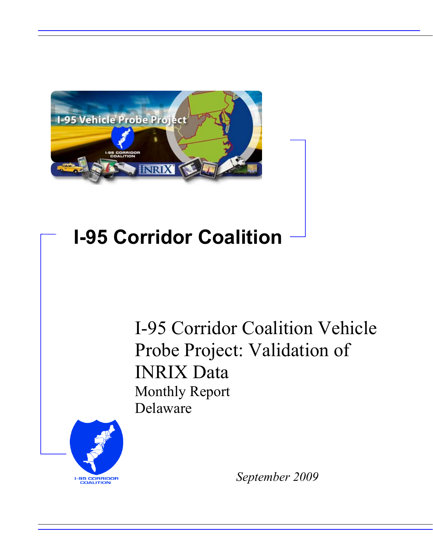

# **I-95 Corridor Coalition**

I-95 Corridor Coalition Vehicle Probe Project: Validation of INRIX Data Monthly Report Delaware



*September 2009*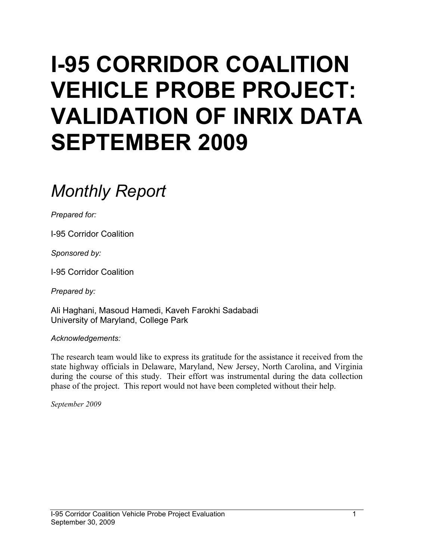# **I-95 CORRIDOR COALITION VEHICLE PROBE PROJECT: VALIDATION OF INRIX DATA SEPTEMBER 2009**

# *Monthly Report*

*Prepared for:* 

I-95 Corridor Coalition

*Sponsored by:* 

I-95 Corridor Coalition

*Prepared by:* 

Ali Haghani, Masoud Hamedi, Kaveh Farokhi Sadabadi University of Maryland, College Park

*Acknowledgements:* 

The research team would like to express its gratitude for the assistance it received from the state highway officials in Delaware, Maryland, New Jersey, North Carolina, and Virginia during the course of this study. Their effort was instrumental during the data collection phase of the project. This report would not have been completed without their help.

*September 2009*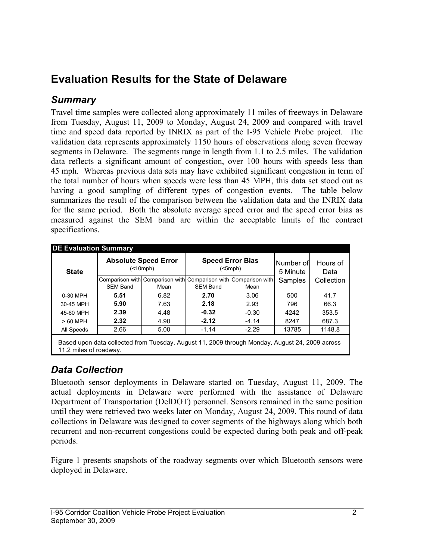# **Evaluation Results for the State of Delaware**

### *Summary*

Travel time samples were collected along approximately 11 miles of freeways in Delaware from Tuesday, August 11, 2009 to Monday, August 24, 2009 and compared with travel time and speed data reported by INRIX as part of the I-95 Vehicle Probe project. The validation data represents approximately 1150 hours of observations along seven freeway segments in Delaware. The segments range in length from 1.1 to 2.5 miles. The validation data reflects a significant amount of congestion, over 100 hours with speeds less than 45 mph. Whereas previous data sets may have exhibited significant congestion in term of the total number of hours when speeds were less than 45 MPH, this data set stood out as having a good sampling of different types of congestion events. The table below summarizes the result of the comparison between the validation data and the INRIX data for the same period. Both the absolute average speed error and the speed error bias as measured against the SEM band are within the acceptable limits of the contract specifications.

| <b>State</b>                                                                                                             |                                                                                                               | <b>Absolute Speed Error</b><br>( |         | <b>Speed Error Bias</b><br>(5mph) | Number of<br>5 Minute | Hours of<br>Data |  |  |
|--------------------------------------------------------------------------------------------------------------------------|---------------------------------------------------------------------------------------------------------------|----------------------------------|---------|-----------------------------------|-----------------------|------------------|--|--|
|                                                                                                                          | Comparison with Comparison with Comparison with Comparison with<br><b>SEM Band</b><br><b>SEM Band</b><br>Mean |                                  |         | Mean                              | Samples               | Collection       |  |  |
| 0-30 MPH                                                                                                                 | 5.51                                                                                                          | 6.82                             | 2.70    | 3.06                              | 500                   | 41.7             |  |  |
| 30-45 MPH                                                                                                                | 5.90                                                                                                          | 7.63                             | 2.18    | 2.93                              | 796                   | 66.3             |  |  |
| 45-60 MPH                                                                                                                | 2.39                                                                                                          | 4.48                             | $-0.32$ | $-0.30$                           | 4242                  | 353.5            |  |  |
| > 60 MPH                                                                                                                 | 2.32                                                                                                          | 4.90                             | $-2.12$ | $-4.14$                           | 8247                  | 687.3            |  |  |
| All Speeds                                                                                                               | 2.66                                                                                                          | 5.00                             | $-1.14$ | $-2.29$                           | 13785                 | 1148.8           |  |  |
| Based upon data collected from Tuesday, August 11, 2009 through Monday, August 24, 2009 across<br>11.2 miles of roadway. |                                                                                                               |                                  |         |                                   |                       |                  |  |  |

## *Data Collection*

Bluetooth sensor deployments in Delaware started on Tuesday, August 11, 2009. The actual deployments in Delaware were performed with the assistance of Delaware Department of Transportation (DelDOT) personnel. Sensors remained in the same position until they were retrieved two weeks later on Monday, August 24, 2009. This round of data collections in Delaware was designed to cover segments of the highways along which both recurrent and non-recurrent congestions could be expected during both peak and off-peak periods.

Figure 1 presents snapshots of the roadway segments over which Bluetooth sensors were deployed in Delaware.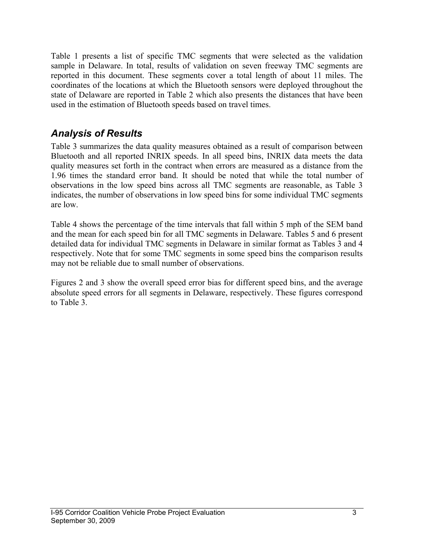Table 1 presents a list of specific TMC segments that were selected as the validation sample in Delaware. In total, results of validation on seven freeway TMC segments are reported in this document. These segments cover a total length of about 11 miles. The coordinates of the locations at which the Bluetooth sensors were deployed throughout the state of Delaware are reported in Table 2 which also presents the distances that have been used in the estimation of Bluetooth speeds based on travel times.

### *Analysis of Results*

Table 3 summarizes the data quality measures obtained as a result of comparison between Bluetooth and all reported INRIX speeds. In all speed bins, INRIX data meets the data quality measures set forth in the contract when errors are measured as a distance from the 1.96 times the standard error band. It should be noted that while the total number of observations in the low speed bins across all TMC segments are reasonable, as Table 3 indicates, the number of observations in low speed bins for some individual TMC segments are low.

Table 4 shows the percentage of the time intervals that fall within 5 mph of the SEM band and the mean for each speed bin for all TMC segments in Delaware. Tables 5 and 6 present detailed data for individual TMC segments in Delaware in similar format as Tables 3 and 4 respectively. Note that for some TMC segments in some speed bins the comparison results may not be reliable due to small number of observations.

Figures 2 and 3 show the overall speed error bias for different speed bins, and the average absolute speed errors for all segments in Delaware, respectively. These figures correspond to Table 3.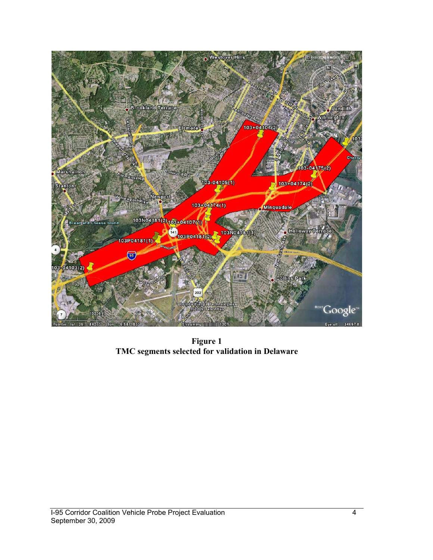

**Figure 1 TMC segments selected for validation in Delaware**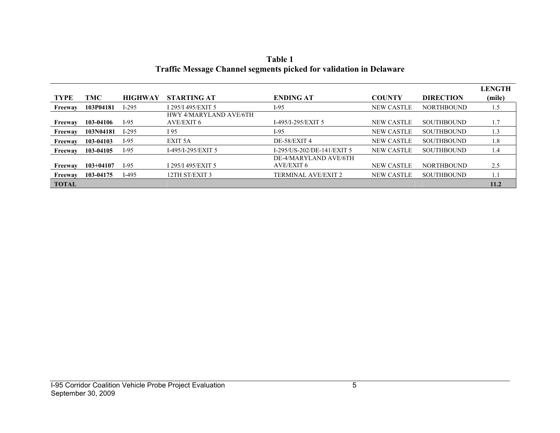|              |               |                |                               |                            |                   |                   | <b>LENGTH</b> |
|--------------|---------------|----------------|-------------------------------|----------------------------|-------------------|-------------------|---------------|
| <b>TYPE</b>  | TMC           | <b>HIGHWAY</b> | <b>STARTING AT</b>            | <b>ENDING AT</b>           | <b>COUNTY</b>     | <b>DIRECTION</b>  | (mile)        |
| Freeway      | 103P04181     | I-295          | I 295/I 495/EXIT 5            | $I-95$                     | <b>NEW CASTLE</b> | <b>NORTHBOUND</b> | 1.5           |
|              |               |                | <b>HWY 4/MARYLAND AVE/6TH</b> |                            |                   |                   |               |
| Freeway      | 103-04106     | $I-95$         | AVE/EXIT 6                    | I-495/I-295/EXIT 5         | NEW CASTLE        | <b>SOUTHBOUND</b> | 1.7           |
| Freeway      | 103N04181     | I-295          | I 95                          | I-95                       | NEW CASTLE        | <b>SOUTHBOUND</b> | 1.3           |
| Freeway      | 103-04103     | $I-95$         | EXIT 5A                       | DE-58/EXIT 4               | <b>NEW CASTLE</b> | <b>SOUTHBOUND</b> | 1.8           |
| Freeway      | 103-04105     | $I-95$         | I-495/I-295/EXIT 5            | I-295/US-202/DE-141/EXIT 5 | <b>NEW CASTLE</b> | <b>SOUTHBOUND</b> | 1.4           |
|              |               |                |                               | DE-4/MARYLAND AVE/6TH      |                   |                   |               |
| Freeway      | $103 + 04107$ | I-95           | I 295/I 495/EXIT 5            | AVE/EXIT 6                 | NEW CASTLE        | <b>NORTHBOUND</b> | 2.5           |
| Freeway      | 103-04175     | I-495          | 12TH ST/EXIT 3                | <b>TERMINAL AVE/EXIT 2</b> | <b>NEW CASTLE</b> | <b>SOUTHBOUND</b> | 1.1           |
| <b>TOTAL</b> |               |                |                               |                            |                   |                   | 11.2          |

**Table 1 Traffic Message Channel segments picked for validation in Delaware**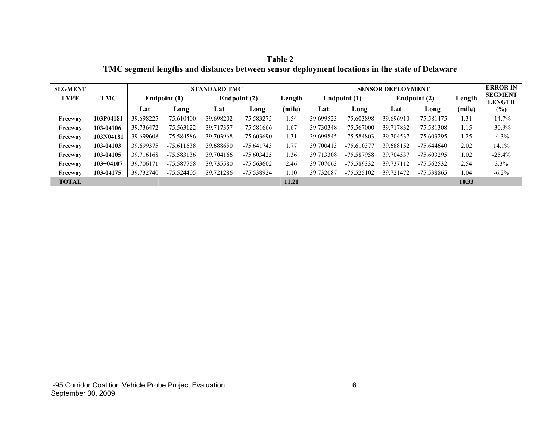**Table 2 TMC segment lengths and distances between sensor deployment locations in the state of Delaware** 

| <b>SEGMENT</b> |             |              |              | <b>STANDARD TMC</b> |              |        |                        | <b>SENSOR DEPLOYMENT</b> |              |              |        | <b>ERROR IN</b>                 |
|----------------|-------------|--------------|--------------|---------------------|--------------|--------|------------------------|--------------------------|--------------|--------------|--------|---------------------------------|
| <b>TYPE</b>    | <b>TMC</b>  | Endpoint (1) |              |                     | Endpoint (2) |        | Endpoint (1)<br>Length |                          | Endpoint (2) |              | Length | <b>SEGMENT</b><br><b>LENGTH</b> |
|                |             | Lat          | Long         | Lat                 | Long         | (mile) | Lat                    | Long                     | Lat          | Long         | (mile) | $(\%)$                          |
| Freeway        | 103P04181   | 39.698225    | $-75.610400$ | 39.698202           | $-75.583275$ | 1.54   | 39.699523              | $-75.603898$             | 39.696910    | $-75.581475$ | 1.31   | $-14.7%$                        |
| Freeway        | 103-04106   | 39.736472    | $-75.563122$ | 39.717357           | $-75.581666$ | 1.67   | 39.730348              | $-75.567000$             | 39.717832    | $-75.581308$ | 1.15   | $-30.9%$                        |
| Freeway        | 103N04181   | 39.699608    | -75.584586   | 39.703968           | $-75.603690$ | 1.31   | 39.699845              | -75.584803               | 39.704537    | $-75.603295$ | 1.25   | $-4.3%$                         |
| Freeway        | 103-04103   | 39.699375    | $-75.611638$ | 39.688650           | -75.641743   | 1.77   | 39.700413              | $-75.610377$             | 39.688152    | $-75.644640$ | 2.02   | 14.1%                           |
| Freeway        | 103-04105   | 39.716168    | -75.583136   | 39.704166           | -75.603425   | 1.36   | 39.713308              | -75.587958               | 39.704537    | $-75.603295$ | l.02   | $-25.4%$                        |
| Freeway        | $103+04107$ | 39.706171    | -75.587758   | 39.735580           | $-75.563602$ | 2.46   | 39.707063              | -75.589332               | 39.737112    | $-75.562532$ | 2.54   | 3.3%                            |
| Freeway        | 103-04175   | 39.732740    | $-75.524405$ | 39.721286           | -75.538924   | .10    | 39.732087              | $-75.525102$             | 39.721472    | -75.538865   | .04    | $-6.2\%$                        |
| <b>TOTAL</b>   |             |              |              |                     |              | 11.21  |                        |                          |              |              | 10.33  |                                 |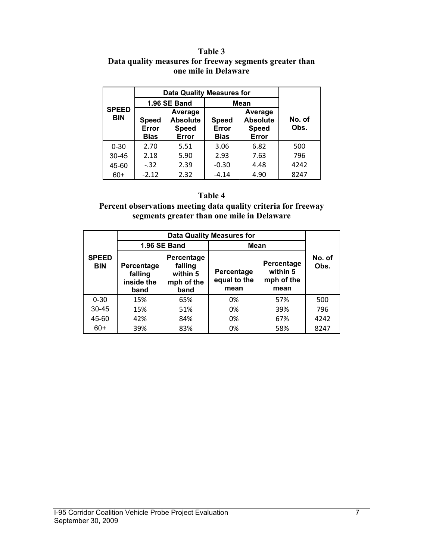#### **Table 3 Data quality measures for freeway segments greater than one mile in Delaware**

|                            | <b>Data Quality Measures for</b>     |                                                                                      |         |                                                     |                |  |
|----------------------------|--------------------------------------|--------------------------------------------------------------------------------------|---------|-----------------------------------------------------|----------------|--|
|                            |                                      | 1.96 SE Band                                                                         | Mean    |                                                     |                |  |
| <b>SPEED</b><br><b>BIN</b> | <b>Speed</b><br>Error<br><b>Bias</b> | Average<br><b>Absolute</b><br>Speed<br><b>Speed</b><br>Error<br>Error<br><b>Bias</b> |         | Average<br><b>Absolute</b><br><b>Speed</b><br>Error | No. of<br>Obs. |  |
| $0 - 30$                   | 2.70                                 | 5.51                                                                                 | 3.06    | 6.82                                                | 500            |  |
| $30 - 45$                  | 2.18                                 | 5.90                                                                                 | 2.93    | 7.63                                                | 796            |  |
| 45-60                      | $-.32$                               | 2.39                                                                                 | $-0.30$ | 4.48                                                | 4242           |  |
| 60+                        | $-2.12$                              | 2.32                                                                                 | $-4.14$ | 4.90                                                | 8247           |  |

#### **Table 4**

**Percent observations meeting data quality criteria for freeway segments greater than one mile in Delaware** 

|                            |                                                                                                               | 1.96 SE Band | Mean                               |                                              |                |  |
|----------------------------|---------------------------------------------------------------------------------------------------------------|--------------|------------------------------------|----------------------------------------------|----------------|--|
| <b>SPEED</b><br><b>BIN</b> | <b>Percentage</b><br>falling<br>Percentage<br>within 5<br>falling<br>inside the<br>mph of the<br>band<br>band |              | Percentage<br>equal to the<br>mean | Percentage<br>within 5<br>mph of the<br>mean | No. of<br>Obs. |  |
| $0 - 30$                   | 15%                                                                                                           | 65%          | 0%                                 | 57%                                          | 500            |  |
| $30 - 45$                  | 15%                                                                                                           | 51%          | 0%                                 | 39%                                          | 796            |  |
| 45-60                      | 42%                                                                                                           | 84%          | 0%                                 | 67%                                          | 4242           |  |
| $60+$                      | 39%                                                                                                           | 83%          | 0%                                 | 58%                                          | 8247           |  |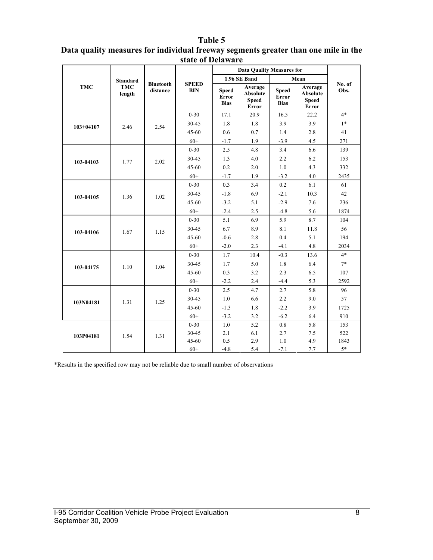#### **Table 5**

|               |                      |                              |                            | <b>Data Quality Measures for</b>     |                                                            |                                             |                                                            |                |
|---------------|----------------------|------------------------------|----------------------------|--------------------------------------|------------------------------------------------------------|---------------------------------------------|------------------------------------------------------------|----------------|
|               | <b>Standard</b>      |                              |                            |                                      | 1.96 SE Band                                               |                                             | Mean                                                       |                |
| <b>TMC</b>    | <b>TMC</b><br>length | <b>Bluetooth</b><br>distance | <b>SPEED</b><br><b>BIN</b> | <b>Speed</b><br>Error<br><b>Bias</b> | Average<br><b>Absolute</b><br><b>Speed</b><br><b>Error</b> | <b>Speed</b><br><b>Error</b><br><b>Bias</b> | Average<br><b>Absolute</b><br><b>Speed</b><br><b>Error</b> | No. of<br>Obs. |
|               |                      |                              | $0 - 30$                   | 17.1                                 | 20.9                                                       | 16.5                                        | 22.2                                                       | $4*$           |
| $103 + 04107$ | 2.46                 | 2.54                         | 30-45                      | 1.8                                  | 1.8                                                        | 3.9                                         | 3.9                                                        | $1*$           |
|               |                      |                              | 45-60                      | 0.6                                  | 0.7                                                        | 1.4                                         | 2.8                                                        | 41             |
|               |                      |                              | $60+$                      | $-1.7$                               | 1.9                                                        | $-3.9$                                      | 4.5                                                        | 271            |
|               |                      |                              | $0 - 30$                   | 2.5                                  | 4.8                                                        | 3.4                                         | 6.6                                                        | 139            |
| 103-04103     | 1.77                 | 2.02                         | 30-45                      | 1.3                                  | 4.0                                                        | 2.2                                         | 6.2                                                        | 153            |
|               |                      |                              | $45 - 60$                  | $0.2\,$                              | 2.0                                                        | 1.0                                         | 4.3                                                        | 332            |
|               |                      |                              | $60+$                      | $-1.7$                               | 1.9                                                        | $-3.2$                                      | 4.0                                                        | 2435           |
| 103-04105     | 1.36                 |                              | $0 - 30$                   | 0.3                                  | 3.4                                                        | 0.2                                         | 6.1                                                        | 61             |
|               |                      | 1.02                         | 30-45                      | $-1.8$                               | 6.9                                                        | $-2.1$                                      | 10.3                                                       | 42             |
|               |                      |                              | 45-60                      | $-3.2$                               | 5.1                                                        | $-2.9$                                      | 7.6                                                        | 236            |
|               |                      |                              | $60+$                      | $-2.4$                               | 2.5                                                        | $-4.8$                                      | 5.6                                                        | 1874           |
| 103-04106     | 1.67                 | 1.15                         | $0 - 30$                   | 5.1                                  | 6.9                                                        | 5.9                                         | 8.7                                                        | 104            |
|               |                      |                              | 30-45                      | 6.7                                  | 8.9                                                        | 8.1                                         | 11.8                                                       | 56             |
|               |                      |                              | 45-60                      | $-0.6$                               | 2.8                                                        | 0.4                                         | 5.1                                                        | 194            |
|               |                      |                              | $60+$                      | $-2.0$                               | 2.3                                                        | $-4.1$                                      | 4.8                                                        | 2034           |
|               |                      |                              | $0 - 30$                   | 1.7                                  | 10.4                                                       | $-0.3$                                      | 13.6                                                       | $4*$           |
| 103-04175     | 1.10                 | 1.04                         | 30-45                      | 1.7                                  | 5.0                                                        | 1.8                                         | 6.4                                                        | $7*$           |
|               |                      |                              | 45-60                      | 0.3                                  | 3.2                                                        | 2.3                                         | 6.5                                                        | 107            |
|               |                      |                              | $60+$                      | $-2.2$                               | 2.4                                                        | $-4.4$                                      | 5.3                                                        | 2592           |
|               |                      |                              | $0 - 30$                   | 2.5                                  | 4.7                                                        | 2.7                                         | 5.8                                                        | 96             |
|               | 1.31                 | 1.25                         | 30-45                      | 1.0                                  | 6.6                                                        | 2.2                                         | 9.0                                                        | 57             |
| 103N04181     |                      |                              | 45-60                      | $-1.3$                               | 1.8                                                        | $-2.2$                                      | 3.9                                                        | 1725           |
|               |                      |                              | $60+$                      | $-3.2$                               | 3.2                                                        | $-6.2$                                      | 6.4                                                        | 910            |
|               |                      |                              | $0 - 30$                   | $1.0\,$                              | 5.2                                                        | $0.8\,$                                     | 5.8                                                        | 153            |
| 103P04181     | 1.54                 | 1.31                         | 30-45                      | 2.1                                  | 6.1                                                        | 2.7                                         | 7.5                                                        | 522            |
|               |                      |                              | 45-60                      | 0.5                                  | 2.9                                                        | 1.0                                         | 4.9                                                        | 1843           |
|               |                      |                              | $60+$                      | $-4.8$                               | 5.4                                                        | $-7.1$                                      | 7.7                                                        | $5*$           |

#### **Data quality measures for individual freeway segments greater than one mile in the state of Delaware**

\*Results in the specified row may not be reliable due to small number of observations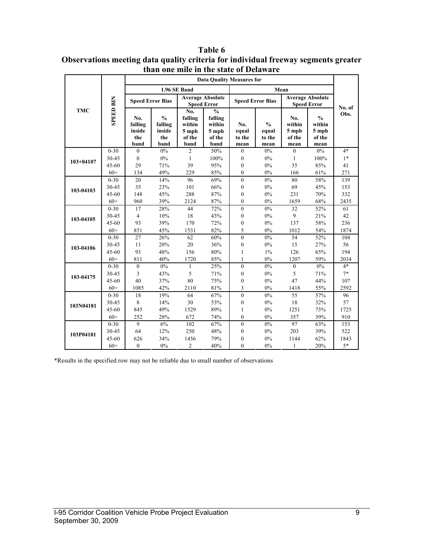|               |                  |                                         |                                                   |                                                     | <b>Data Quality Measures for</b>                              |                                |                                          |                                          |                                                    |                |
|---------------|------------------|-----------------------------------------|---------------------------------------------------|-----------------------------------------------------|---------------------------------------------------------------|--------------------------------|------------------------------------------|------------------------------------------|----------------------------------------------------|----------------|
|               | <b>SPEED BIN</b> |                                         |                                                   | 1.96 SE Band                                        |                                                               |                                |                                          | Mean                                     |                                                    |                |
|               |                  | <b>Speed Error Bias</b>                 |                                                   |                                                     | <b>Average Absolute</b><br><b>Speed Error</b>                 |                                | <b>Speed Error Bias</b>                  |                                          | <b>Average Absolute</b><br><b>Speed Error</b>      |                |
| <b>TMC</b>    |                  | No.<br>falling<br>inside<br>the<br>band | $\frac{0}{0}$<br>falling<br>inside<br>the<br>band | No.<br>falling<br>within<br>5 mph<br>of the<br>band | $\frac{0}{0}$<br>falling<br>within<br>5 mph<br>of the<br>band | No.<br>equal<br>to the<br>mean | $\frac{0}{0}$<br>equal<br>to the<br>mean | No.<br>within<br>5 mph<br>of the<br>mean | $\frac{0}{0}$<br>within<br>5 mph<br>of the<br>mean | No. of<br>Obs. |
|               | $0 - 30$         | $\mathbf{0}$                            | 0%                                                | $\overline{2}$                                      | 50%                                                           | $\boldsymbol{0}$               | $0\%$                                    | $\mathbf{0}$                             | 0%                                                 | $4*$           |
| $103 + 04107$ | 30-45            | $\mathbf{0}$                            | $0\%$                                             | $\mathbf{1}$                                        | 100%                                                          | $\boldsymbol{0}$               | 0%                                       | 1                                        | 100%                                               | $1*$           |
|               | $45 - 60$        | 29                                      | 71%                                               | 39                                                  | 95%                                                           | $\boldsymbol{0}$               | $0\%$                                    | 35                                       | 85%                                                | 41             |
|               | $60+$            | 134                                     | 49%                                               | 229                                                 | 85%                                                           | $\boldsymbol{0}$               | $0\%$                                    | 166                                      | 61%                                                | 271            |
| 103-04103     | $0 - 30$         | 20                                      | 14%                                               | 96                                                  | 69%                                                           | $\mathbf{0}$                   | 0%                                       | 80                                       | 58%                                                | 139            |
|               | 30-45            | 35                                      | 23%                                               | 101                                                 | 66%                                                           | $\mathbf{0}$                   | 0%                                       | 69                                       | 45%                                                | 153            |
|               | $45 - 60$        | 148                                     | 45%                                               | 288                                                 | 87%                                                           | $\mathbf{0}$                   | 0%                                       | 231                                      | 70%                                                | 332            |
|               | $60+$            | 960                                     | 39%                                               | 2124                                                | 87%                                                           | $\mathbf{0}$                   | $0\%$                                    | 1659                                     | 68%                                                | 2435           |
|               | $0 - 30$         | 17                                      | 28%                                               | 44                                                  | 72%                                                           | $\mathbf{0}$                   | 0%                                       | 32                                       | 52%                                                | 61             |
| 103-04105     | $30 - 45$        | $\overline{4}$                          | 10%                                               | 18                                                  | 43%                                                           | $\boldsymbol{0}$               | 0%                                       | $\mathbf{Q}$                             | 21%                                                | 42             |
|               | $45 - 60$        | 93                                      | 39%                                               | 170                                                 | 72%                                                           | $\mathbf{0}$                   | 0%                                       | 137                                      | 58%                                                | 236            |
|               | $60+$            | 851                                     | 45%                                               | 1531                                                | 82%                                                           | 5                              | $0\%$                                    | 1012                                     | 54%                                                | 1874           |
|               | $0 - 30$         | 27                                      | 26%                                               | 62                                                  | 60%                                                           | $\theta$                       | 0%                                       | 54                                       | 52%                                                | 104            |
| 103-04106     | $30 - 45$        | 11                                      | 20%                                               | 20                                                  | 36%                                                           | $\mathbf{0}$                   | $0\%$                                    | 15                                       | 27%                                                | 56             |
|               | $45 - 60$        | 93                                      | 48%                                               | 156                                                 | 80%                                                           | 1                              | $1\%$                                    | 126                                      | 65%                                                | 194            |
|               | $60+$            | 811                                     | 40%                                               | 1720                                                | 85%                                                           | 1                              | $0\%$                                    | 1207                                     | 59%                                                | 2034           |
|               | $0 - 30$         | $\mathbf{0}$                            | $0\%$                                             | $\mathbf{1}$                                        | 25%                                                           | $\mathbf{0}$                   | $0\%$                                    | $\mathbf{0}$                             | $0\%$                                              | $4*$           |
| 103-04175     | 30-45            | 3                                       | 43%                                               | 5                                                   | 71%                                                           | $\boldsymbol{0}$               | 0%                                       | 5                                        | 71%                                                | $7*$           |
|               | $45 - 60$        | 40                                      | 37%                                               | 80                                                  | 75%                                                           | $\boldsymbol{0}$               | 0%                                       | 47                                       | 44%                                                | 107            |
|               | $60+$            | 1085                                    | 42%                                               | 2110                                                | 81%                                                           | 3                              | $0\%$                                    | 1418                                     | 55%                                                | 2592           |
|               | $0 - 30$         | 18                                      | 19%                                               | 64                                                  | 67%                                                           | $\mathbf{0}$                   | 0%                                       | 55                                       | 57%                                                | 96             |
| 103N04181     | 30-45            | 8                                       | 14%                                               | 30                                                  | 53%                                                           | $\mathbf{0}$                   | 0%                                       | 18                                       | 32%                                                | 57             |
|               | $45 - 60$        | 845                                     | 49%                                               | 1529                                                | 89%                                                           | 1                              | 0%                                       | 1251                                     | 73%                                                | 1725           |
|               | $60+$            | 252                                     | 28%                                               | 672                                                 | 74%                                                           | $\theta$                       | 0%                                       | 357                                      | 39%                                                | 910            |
|               | $0 - 30$         | 9                                       | 6%                                                | 102                                                 | 67%                                                           | $\mathbf{0}$                   | $0\%$                                    | 97                                       | 63%                                                | 153            |
| 103P04181     | 30-45            | 64                                      | 12%                                               | 250                                                 | 48%                                                           | $\boldsymbol{0}$               | $0\%$                                    | 203                                      | 39%                                                | 522            |
|               | $45 - 60$        | 626                                     | 34%                                               | 1456                                                | 79%                                                           | $\boldsymbol{0}$               | 0%                                       | 1144                                     | 62%                                                | 1843           |
|               | $60+$            | $\theta$                                | 0%                                                | $\overline{c}$                                      | 40%                                                           | $\theta$                       | 0%                                       | 1                                        | 20%                                                | $5*$           |

**Table 6 Observations meeting data quality criteria for individual freeway segments greater than one mile in the state of Delaware** 

\*Results in the specified row may not be reliable due to small number of observations